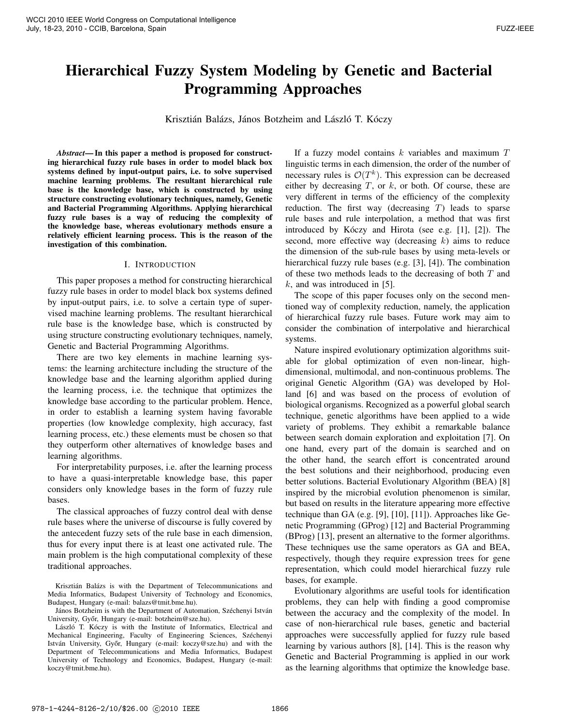# Hierarchical Fuzzy System Modeling by Genetic and Bacterial Programming Approaches

Krisztián Balázs, János Botzheim and László T. Kóczy

*Abstract*— In this paper a method is proposed for constructing hierarchical fuzzy rule bases in order to model black box systems defined by input-output pairs, i.e. to solve supervised machine learning problems. The resultant hierarchical rule base is the knowledge base, which is constructed by using structure constructing evolutionary techniques, namely, Genetic and Bacterial Programming Algorithms. Applying hierarchical fuzzy rule bases is a way of reducing the complexity of the knowledge base, whereas evolutionary methods ensure a relatively efficient learning process. This is the reason of the investigation of this combination.

#### I. INTRODUCTION

This paper proposes a method for constructing hierarchical fuzzy rule bases in order to model black box systems defined by input-output pairs, i.e. to solve a certain type of supervised machine learning problems. The resultant hierarchical rule base is the knowledge base, which is constructed by using structure constructing evolutionary techniques, namely, Genetic and Bacterial Programming Algorithms.

There are two key elements in machine learning systems: the learning architecture including the structure of the knowledge base and the learning algorithm applied during the learning process, i.e. the technique that optimizes the knowledge base according to the particular problem. Hence, in order to establish a learning system having favorable properties (low knowledge complexity, high accuracy, fast learning process, etc.) these elements must be chosen so that they outperform other alternatives of knowledge bases and learning algorithms.

For interpretability purposes, i.e. after the learning process to have a quasi-interpretable knowledge base, this paper considers only knowledge bases in the form of fuzzy rule bases.

The classical approaches of fuzzy control deal with dense rule bases where the universe of discourse is fully covered by the antecedent fuzzy sets of the rule base in each dimension, thus for every input there is at least one activated rule. The main problem is the high computational complexity of these traditional approaches.

Krisztián Balázs is with the Department of Telecommunications and Media Informatics, Budapest University of Technology and Economics, Budapest, Hungary (e-mail: balazs@tmit.bme.hu).

János Botzheim is with the Department of Automation, Széchenyi István University, Győr, Hungary (e-mail: botzheim@sze.hu).

László T. Kóczy is with the Institute of Informatics, Electrical and Mechanical Engineering, Faculty of Engineering Sciences, Széchenyi István University, Győr, Hungary (e-mail: koczy@sze.hu) and with the Department of Telecommunications and Media Informatics, Budapest University of Technology and Economics, Budapest, Hungary (e-mail: koczy@tmit.bme.hu).

If a fuzzy model contains  $k$  variables and maximum  $T$ linguistic terms in each dimension, the order of the number of necessary rules is  $\mathcal{O}(T^k)$ . This expression can be decreased either by decreasing  $T$ , or  $k$ , or both. Of course, these are very different in terms of the efficiency of the complexity reduction. The first way (decreasing  $T$ ) leads to sparse rule bases and rule interpolation, a method that was first introduced by Kóczy and Hirota (see e.g.  $[1]$ ,  $[2]$ ). The second, more effective way (decreasing  $k$ ) aims to reduce the dimension of the sub-rule bases by using meta-levels or hierarchical fuzzy rule bases (e.g. [3], [4]). The combination of these two methods leads to the decreasing of both  $T$  and  $k$ , and was introduced in [5].

The scope of this paper focuses only on the second mentioned way of complexity reduction, namely, the application of hierarchical fuzzy rule bases. Future work may aim to consider the combination of interpolative and hierarchical systems.

Nature inspired evolutionary optimization algorithms suitable for global optimization of even non-linear, highdimensional, multimodal, and non-continuous problems. The original Genetic Algorithm (GA) was developed by Holland [6] and was based on the process of evolution of biological organisms. Recognized as a powerful global search technique, genetic algorithms have been applied to a wide variety of problems. They exhibit a remarkable balance between search domain exploration and exploitation [7]. On one hand, every part of the domain is searched and on the other hand, the search effort is concentrated around the best solutions and their neighborhood, producing even better solutions. Bacterial Evolutionary Algorithm (BEA) [8] inspired by the microbial evolution phenomenon is similar, but based on results in the literature appearing more effective technique than GA (e.g. [9], [10], [11]). Approaches like Genetic Programming (GProg) [12] and Bacterial Programming (BProg) [13], present an alternative to the former algorithms. These techniques use the same operators as GA and BEA, respectively, though they require expression trees for gene representation, which could model hierarchical fuzzy rule bases, for example.

Evolutionary algorithms are useful tools for identification problems, they can help with finding a good compromise between the accuracy and the complexity of the model. In case of non-hierarchical rule bases, genetic and bacterial approaches were successfully applied for fuzzy rule based learning by various authors [8], [14]. This is the reason why Genetic and Bacterial Programming is applied in our work as the learning algorithms that optimize the knowledge base.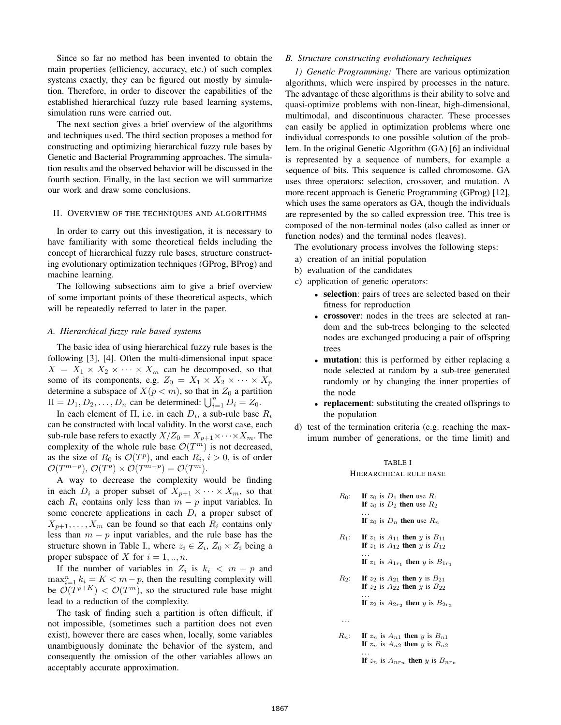Since so far no method has been invented to obtain the main properties (efficiency, accuracy, etc.) of such complex systems exactly, they can be figured out mostly by simulation. Therefore, in order to discover the capabilities of the established hierarchical fuzzy rule based learning systems, simulation runs were carried out.

The next section gives a brief overview of the algorithms and techniques used. The third section proposes a method for constructing and optimizing hierarchical fuzzy rule bases by Genetic and Bacterial Programming approaches. The simulation results and the observed behavior will be discussed in the fourth section. Finally, in the last section we will summarize our work and draw some conclusions.

## II. OVERVIEW OF THE TECHNIQUES AND ALGORITHMS

In order to carry out this investigation, it is necessary to have familiarity with some theoretical fields including the concept of hierarchical fuzzy rule bases, structure constructing evolutionary optimization techniques (GProg, BProg) and machine learning.

The following subsections aim to give a brief overview of some important points of these theoretical aspects, which will be repeatedly referred to later in the paper.

# *A. Hierarchical fuzzy rule based systems*

The basic idea of using hierarchical fuzzy rule bases is the following [3], [4]. Often the multi-dimensional input space  $X = X_1 \times X_2 \times \cdots \times X_m$  can be decomposed, so that some of its components, e.g.  $Z_0 = X_1 \times X_2 \times \cdots \times X_p$ determine a subspace of  $X(p < m)$ , so that in  $Z_0$  a partition  $\Pi = D_1, D_2, \ldots, D_n$  can be determined:  $\bigcup_{i=1}^n D_i = Z_0$ .

In each element of  $\Pi$ , i.e. in each  $D_i$ , a sub-rule base  $R_i$ can be constructed with local validity. In the worst case, each sub-rule base refers to exactly  $X/Z_0 = X_{p+1} \times \cdots \times X_m$ . The complexity of the whole rule base  $\mathcal{O}(T^m)$  is not decreased, as the size of  $R_0$  is  $\mathcal{O}(T^p)$ , and each  $R_i$ ,  $i > 0$ , is of order  $\mathcal{O}(T^{m-p}), \, \mathcal{O}(T^p) \times \mathcal{O}(T^{m-p}) = \mathcal{O}(T^m).$ 

A way to decrease the complexity would be finding in each  $D_i$  a proper subset of  $X_{p+1} \times \cdots \times X_m$ , so that each  $R_i$  contains only less than  $m - p$  input variables. In some concrete applications in each  $D_i$  a proper subset of  $X_{p+1}, \ldots, X_m$  can be found so that each  $R_i$  contains only less than  $m - p$  input variables, and the rule base has the structure shown in Table I., where  $z_i \in Z_i$ ,  $Z_0 \times Z_i$  being a proper subspace of X for  $i = 1, ..., n$ .

If the number of variables in  $Z_i$  is  $k_i < m - p$  and  $\max_{i=1}^{n} k_i = K < m-p$ , then the resulting complexity will be  $\mathcal{O}(T^{p+K}) < \mathcal{O}(T^m)$ , so the structured rule base might lead to a reduction of the complexity.

The task of finding such a partition is often difficult, if not impossible, (sometimes such a partition does not even exist), however there are cases when, locally, some variables unambiguously dominate the behavior of the system, and consequently the omission of the other variables allows an acceptably accurate approximation.

### *B. Structure constructing evolutionary techniques*

*1) Genetic Programming:* There are various optimization algorithms, which were inspired by processes in the nature. The advantage of these algorithms is their ability to solve and quasi-optimize problems with non-linear, high-dimensional, multimodal, and discontinuous character. These processes can easily be applied in optimization problems where one individual corresponds to one possible solution of the problem. In the original Genetic Algorithm (GA) [6] an individual is represented by a sequence of numbers, for example a sequence of bits. This sequence is called chromosome. GA uses three operators: selection, crossover, and mutation. A more recent approach is Genetic Programming (GProg) [12], which uses the same operators as GA, though the individuals are represented by the so called expression tree. This tree is composed of the non-terminal nodes (also called as inner or function nodes) and the terminal nodes (leaves).

The evolutionary process involves the following steps:

- a) creation of an initial population
- b) evaluation of the candidates
- c) application of genetic operators:
	- selection: pairs of trees are selected based on their fitness for reproduction
	- crossover: nodes in the trees are selected at random and the sub-trees belonging to the selected nodes are exchanged producing a pair of offspring trees
	- **mutation**: this is performed by either replacing a node selected at random by a sub-tree generated randomly or by changing the inner properties of the node
	- replacement: substituting the created offsprings to the population
- d) test of the termination criteria (e.g. reaching the maximum number of generations, or the time limit) and

## TABLE I HIERARCHICAL RULE BASE

- $R_0$ : If  $z_0$  is  $D_1$  then use  $R_1$ If  $z_0$  is  $D_2$  then use  $R_2$ . . . If  $z_0$  is  $D_n$  then use  $R_n$
- $R_1$ : If  $z_1$  is  $A_{11}$  then y is  $B_{11}$ If  $z_1$  is  $A_{12}$  then y is  $B_{12}$ . . . If  $z_1$  is  $A_{1r_1}$  then y is  $B_{1r_1}$
- $R_2$ : If  $z_2$  is  $A_{21}$  then y is  $B_{21}$ If  $z_2$  is  $A_{22}$  then y is  $B_{22}$ . . .

If  $z_2$  is  $A_{2r_2}$  then y is  $B_{2r_2}$ 

- . . .
- $R_n$ : If  $z_n$  is  $A_{n1}$  then y is  $B_{n1}$ If  $z_n$  is  $A_{n2}$  then y is  $B_{n2}$ . . .

If  $z_n$  is  $A_{nr_n}$  then y is  $B_{nr_n}$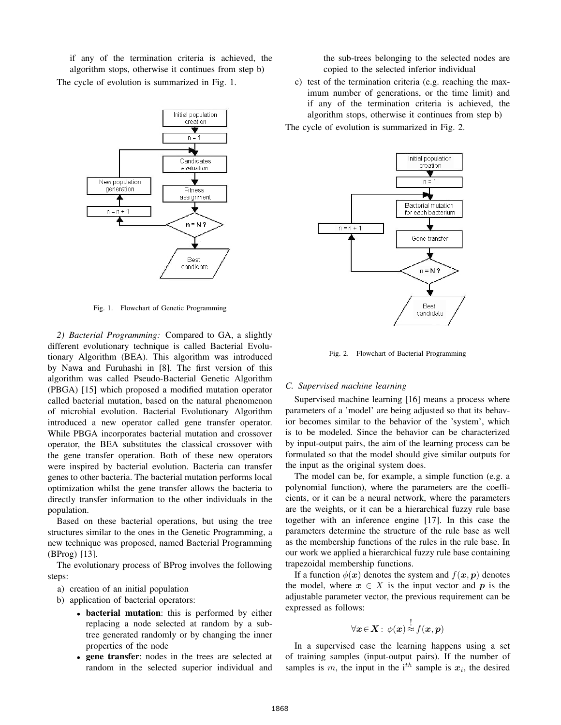if any of the termination criteria is achieved, the algorithm stops, otherwise it continues from step b) The cycle of evolution is summarized in Fig. 1.



Fig. 1. Flowchart of Genetic Programming

*2) Bacterial Programming:* Compared to GA, a slightly different evolutionary technique is called Bacterial Evolutionary Algorithm (BEA). This algorithm was introduced by Nawa and Furuhashi in [8]. The first version of this algorithm was called Pseudo-Bacterial Genetic Algorithm (PBGA) [15] which proposed a modified mutation operator called bacterial mutation, based on the natural phenomenon of microbial evolution. Bacterial Evolutionary Algorithm introduced a new operator called gene transfer operator. While PBGA incorporates bacterial mutation and crossover operator, the BEA substitutes the classical crossover with the gene transfer operation. Both of these new operators were inspired by bacterial evolution. Bacteria can transfer genes to other bacteria. The bacterial mutation performs local optimization whilst the gene transfer allows the bacteria to directly transfer information to the other individuals in the population.

Based on these bacterial operations, but using the tree structures similar to the ones in the Genetic Programming, a new technique was proposed, named Bacterial Programming (BProg) [13].

The evolutionary process of BProg involves the following steps:

- a) creation of an initial population
- b) application of bacterial operators:
	- bacterial mutation: this is performed by either replacing a node selected at random by a subtree generated randomly or by changing the inner properties of the node
	- **gene transfer**: nodes in the trees are selected at random in the selected superior individual and

the sub-trees belonging to the selected nodes are copied to the selected inferior individual

c) test of the termination criteria (e.g. reaching the maximum number of generations, or the time limit) and if any of the termination criteria is achieved, the algorithm stops, otherwise it continues from step b)

The cycle of evolution is summarized in Fig. 2.



Fig. 2. Flowchart of Bacterial Programming

# *C. Supervised machine learning*

Supervised machine learning [16] means a process where parameters of a 'model' are being adjusted so that its behavior becomes similar to the behavior of the 'system', which is to be modeled. Since the behavior can be characterized by input-output pairs, the aim of the learning process can be formulated so that the model should give similar outputs for the input as the original system does.

The model can be, for example, a simple function (e.g. a polynomial function), where the parameters are the coefficients, or it can be a neural network, where the parameters are the weights, or it can be a hierarchical fuzzy rule base together with an inference engine [17]. In this case the parameters determine the structure of the rule base as well as the membership functions of the rules in the rule base. In our work we applied a hierarchical fuzzy rule base containing trapezoidal membership functions.

If a function  $\phi(x)$  denotes the system and  $f(x, p)$  denotes the model, where  $x \in X$  is the input vector and p is the adjustable parameter vector, the previous requirement can be expressed as follows:

$$
\forall \boldsymbol{x} \!\in\! \boldsymbol{X}\! : \: \phi(\boldsymbol{x}) \stackrel{!}{\approx} f(\boldsymbol{x},\boldsymbol{p})
$$

In a supervised case the learning happens using a set of training samples (input-output pairs). If the number of samples is m, the input in the i<sup>th</sup> sample is  $x_i$ , the desired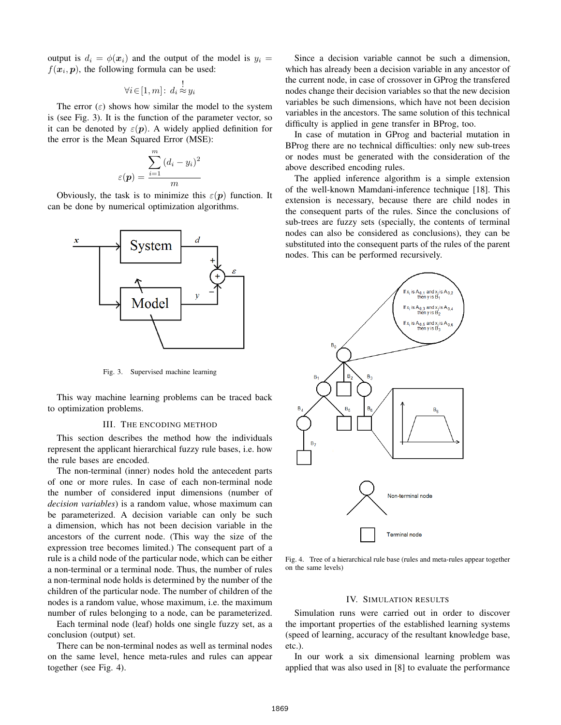output is  $d_i = \phi(\mathbf{x}_i)$  and the output of the model is  $y_i =$  $f(x<sub>i</sub>, p)$ , the following formula can be used:

$$
\forall i \!\in\! [1,m]\!:\, d_i \mathop \approx \limits^! y_i
$$

The error  $(\varepsilon)$  shows how similar the model to the system is (see Fig. 3). It is the function of the parameter vector, so it can be denoted by  $\varepsilon(\mathbf{p})$ . A widely applied definition for the error is the Mean Squared Error (MSE):

$$
\varepsilon(\boldsymbol{p}) = \frac{\sum_{i=1}^{m} (d_i - y_i)^2}{m}
$$

Obviously, the task is to minimize this  $\varepsilon(\mathbf{p})$  function. It can be done by numerical optimization algorithms.



Fig. 3. Supervised machine learning

This way machine learning problems can be traced back to optimization problems.

# III. THE ENCODING METHOD

This section describes the method how the individuals represent the applicant hierarchical fuzzy rule bases, i.e. how the rule bases are encoded.

The non-terminal (inner) nodes hold the antecedent parts of one or more rules. In case of each non-terminal node the number of considered input dimensions (number of *decision variables*) is a random value, whose maximum can be parameterized. A decision variable can only be such a dimension, which has not been decision variable in the ancestors of the current node. (This way the size of the expression tree becomes limited.) The consequent part of a rule is a child node of the particular node, which can be either a non-terminal or a terminal node. Thus, the number of rules a non-terminal node holds is determined by the number of the children of the particular node. The number of children of the nodes is a random value, whose maximum, i.e. the maximum number of rules belonging to a node, can be parameterized.

Each terminal node (leaf) holds one single fuzzy set, as a conclusion (output) set.

There can be non-terminal nodes as well as terminal nodes on the same level, hence meta-rules and rules can appear together (see Fig. 4).

Since a decision variable cannot be such a dimension, which has already been a decision variable in any ancestor of the current node, in case of crossover in GProg the transfered nodes change their decision variables so that the new decision variables be such dimensions, which have not been decision variables in the ancestors. The same solution of this technical difficulty is applied in gene transfer in BProg, too.

In case of mutation in GProg and bacterial mutation in BProg there are no technical difficulties: only new sub-trees or nodes must be generated with the consideration of the above described encoding rules.

The applied inference algorithm is a simple extension of the well-known Mamdani-inference technique [18]. This extension is necessary, because there are child nodes in the consequent parts of the rules. Since the conclusions of sub-trees are fuzzy sets (specially, the contents of terminal nodes can also be considered as conclusions), they can be substituted into the consequent parts of the rules of the parent nodes. This can be performed recursively.



Fig. 4. Tree of a hierarchical rule base (rules and meta-rules appear together on the same levels)

## IV. SIMULATION RESULTS

Simulation runs were carried out in order to discover the important properties of the established learning systems (speed of learning, accuracy of the resultant knowledge base, etc.).

In our work a six dimensional learning problem was applied that was also used in [8] to evaluate the performance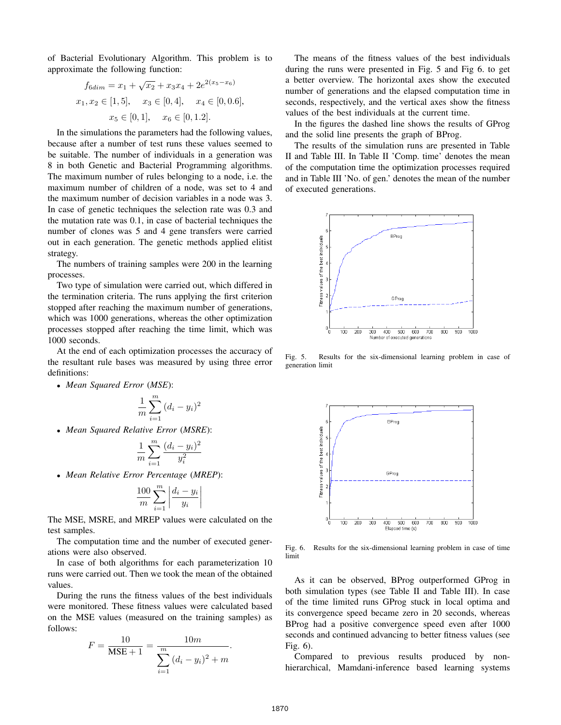of Bacterial Evolutionary Algorithm. This problem is to approximate the following function:

$$
f_{6dim} = x_1 + \sqrt{x_2} + x_3 x_4 + 2e^{2(x_5 - x_6)}
$$
  

$$
x_1, x_2 \in [1, 5], \quad x_3 \in [0, 4], \quad x_4 \in [0, 0.6],
$$
  

$$
x_5 \in [0, 1], \quad x_6 \in [0, 1.2].
$$

In the simulations the parameters had the following values, because after a number of test runs these values seemed to be suitable. The number of individuals in a generation was 8 in both Genetic and Bacterial Programming algorithms. The maximum number of rules belonging to a node, i.e. the maximum number of children of a node, was set to 4 and the maximum number of decision variables in a node was 3. In case of genetic techniques the selection rate was 0.3 and the mutation rate was 0.1, in case of bacterial techniques the number of clones was 5 and 4 gene transfers were carried out in each generation. The genetic methods applied elitist strategy.

The numbers of training samples were 200 in the learning processes.

Two type of simulation were carried out, which differed in the termination criteria. The runs applying the first criterion stopped after reaching the maximum number of generations, which was 1000 generations, whereas the other optimization processes stopped after reaching the time limit, which was 1000 seconds.

At the end of each optimization processes the accuracy of the resultant rule bases was measured by using three error definitions:

• *Mean Squared Error* (*MSE*):

$$
\frac{1}{m}\sum_{i=1}^{m} (d_i - y_i)^2
$$

• *Mean Squared Relative Error* (*MSRE*):

$$
\frac{1}{m} \sum_{i=1}^{m} \frac{(d_i - y_i)^2}{y_i^2}
$$

• *Mean Relative Error Percentage* (*MREP*):

$$
\frac{100}{m} \sum_{i=1}^{m} \left| \frac{d_i - y_i}{y_i} \right|
$$

The MSE, MSRE, and MREP values were calculated on the test samples.

The computation time and the number of executed generations were also observed.

In case of both algorithms for each parameterization 10 runs were carried out. Then we took the mean of the obtained values.

During the runs the fitness values of the best individuals were monitored. These fitness values were calculated based on the MSE values (measured on the training samples) as follows:

$$
F = \frac{10}{\text{MSE} + 1} = \frac{10m}{\sum_{i=1}^{m} (d_i - y_i)^2 + m}
$$

The means of the fitness values of the best individuals during the runs were presented in Fig. 5 and Fig 6. to get a better overview. The horizontal axes show the executed number of generations and the elapsed computation time in seconds, respectively, and the vertical axes show the fitness values of the best individuals at the current time.

In the figures the dashed line shows the results of GProg and the solid line presents the graph of BProg.

The results of the simulation runs are presented in Table II and Table III. In Table II 'Comp. time' denotes the mean of the computation time the optimization processes required and in Table III 'No. of gen.' denotes the mean of the number of executed generations.



Fig. 5. Results for the six-dimensional learning problem in case of generation limit



Fig. 6. Results for the six-dimensional learning problem in case of time limit

As it can be observed, BProg outperformed GProg in both simulation types (see Table II and Table III). In case of the time limited runs GProg stuck in local optima and its convergence speed became zero in 20 seconds, whereas BProg had a positive convergence speed even after 1000 seconds and continued advancing to better fitness values (see Fig. 6).

Compared to previous results produced by nonhierarchical, Mamdani-inference based learning systems

.